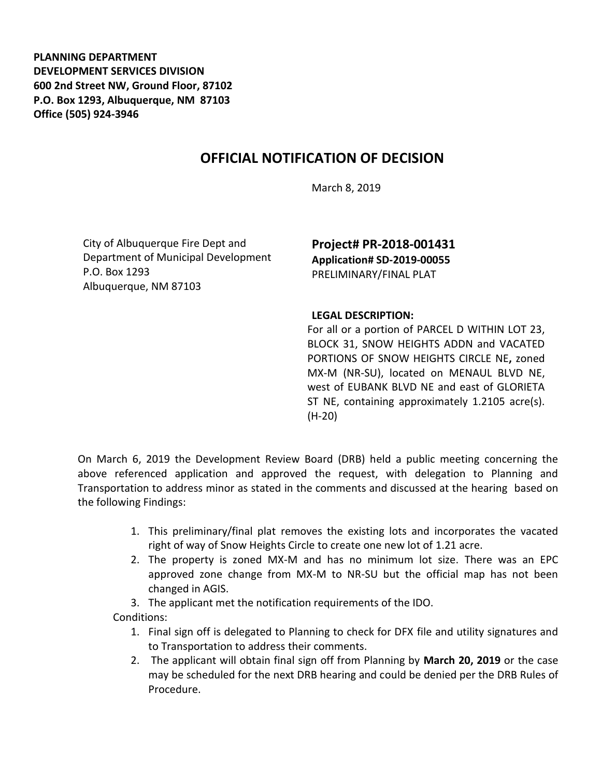**PLANNING DEPARTMENT DEVELOPMENT SERVICES DIVISION 600 2nd Street NW, Ground Floor, 87102 P.O. Box 1293, Albuquerque, NM 87103 Office (505) 924-3946** 

## **OFFICIAL NOTIFICATION OF DECISION**

March 8, 2019

City of Albuquerque Fire Dept and Department of Municipal Development P.O. Box 1293 Albuquerque, NM 87103

**Project# PR-2018-001431 Application# SD-2019-00055**  PRELIMINARY/FINAL PLAT

## **LEGAL DESCRIPTION:**

For all or a portion of PARCEL D WITHIN LOT 23, BLOCK 31, SNOW HEIGHTS ADDN and VACATED PORTIONS OF SNOW HEIGHTS CIRCLE NE**,** zoned MX-M (NR-SU), located on MENAUL BLVD NE, west of EUBANK BLVD NE and east of GLORIETA ST NE, containing approximately 1.2105 acre(s). (H-20)

On March 6, 2019 the Development Review Board (DRB) held a public meeting concerning the above referenced application and approved the request, with delegation to Planning and Transportation to address minor as stated in the comments and discussed at the hearing based on the following Findings:

- 1. This preliminary/final plat removes the existing lots and incorporates the vacated right of way of Snow Heights Circle to create one new lot of 1.21 acre.
- 2. The property is zoned MX-M and has no minimum lot size. There was an EPC approved zone change from MX-M to NR-SU but the official map has not been changed in AGIS.
- 3. The applicant met the notification requirements of the IDO.
- Conditions:
	- 1. Final sign off is delegated to Planning to check for DFX file and utility signatures and to Transportation to address their comments.
	- 2. The applicant will obtain final sign off from Planning by **March 20, 2019** or the case may be scheduled for the next DRB hearing and could be denied per the DRB Rules of Procedure.